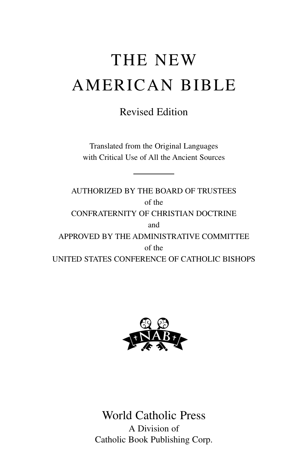# THE NEW AMERICAN BIBLE

## Revised Edition

Translated from the Original Languages with Critical Use of All the Ancient Sources

AUTHORIZED BY THE BOARD OF TRUSTEES of the CONFRATERNITY OF CHRISTIAN DOCTRINE and APPROVED BY THE ADMINISTRATIVE COMMITTEE of the UNITED STATES CONFERENCE OF CATHOLIC BISHOPS



World Catholic Press A Division of Catholic Book Publishing Corp.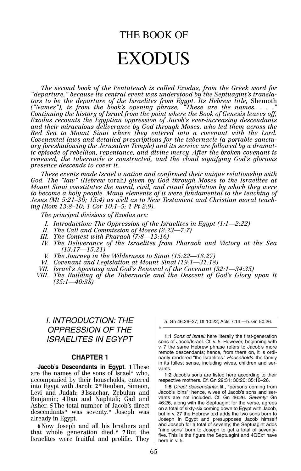# THE BOOK OF EXODUS

*The second book of the Pentateuch is called Exodus, from the Greek word for "departure," because its central event was understood by the Septuagint's translators to be the departure of the Israelites from Egypt. Its Hebrew title, Shemoth ("Names"), is from the book's opening phrase, "These are the names. . . ." Continuing the history of Israel from the point where the Book of Genesis leaves off, Exodus recounts the Egyptian oppression of Jacob's ever-increasing descendants and their miraculous deliverance by God through Moses, who led them across the Red Sea to Mount Sinai where they entered into a covenant with the Lord. Covenantal laws and detailed prescriptions for the tabernacle (a portable sanctuary foreshadowing the Jerusalem Temple) and its service are followed by a dramatic episode of rebellion, repentance, and divine mercy. After the broken covenant is renewed, the tabernacle is constructed, and the cloud signifying God's glorious presence descends to cover it.*

*These events made Israel a nation and confirmed their unique relationship with God. The "law" (Hebrew* torah*) given by God through Moses to the Israelites at Mount Sinai constitutes the moral, civil, and ritual legislation by which they were to become a holy people. Many elements of it were fundamental to the teaching of Jesus (Mt 5:21–30; 15:4) as well as to New Testament and Christian moral teaching (Rom 13:8–10; 1 Cor 10:1–5; 1 Pt 2:9).*

*The principal divisions of Exodus are:*

- *I. Introduction: The Oppression of the Israelites in Egypt (1:1—2:22)*
- *II. The Call and Commission of Moses (2:23—7:7)*
- *III. The Contest with Pharaoh (7:8—13:16)*
- *IV. The Deliverance of the Israelites from Pharaoh and Victory at the Sea (13:17—15:21)*
- *V. The Journey in the Wilderness to Sinai (15:22—18:27)*
- *VI. Covenant and Legislation at Mount Sinai (19:1—31:18)*
- *VII. Israel's Apostasy and God's Renewal of the Covenant (32:1—34:35)*
- *VIII. The Building of the Tabernacle and the Descent of God's Glory upon It (35:1—40:38)*

\*

### I. INTRODUCTION: THE OPPRESSION OF THE ISRAELITES IN EGYPT

#### **CHAPTER 1**

**Jacob's Descendants in Egypt. 1**These are the names of the sons of Israel\* who, accompanied by their households, entered into Egypt with Jacob: **2** \*Reuben, Simeon, Levi and Judah; **3** Issachar, Zebulun and Benjamin; **4** Dan and Naphtali; Gad and Asher. **5**The total number of Jacob's direct descendants\* was seventy.<sup>*a*</sup> Joseph was already in Egypt.

**6** Now Joseph and all his brothers and that whole generation died. $\frac{b}{b}$  **7** But the Israelites were fruitful and prolific. They

a. Gn 46:26–27; Dt 10:22; Acts 7:14.—b. Gn 50:26.

**1:1** Sons of Israel: here literally the first-generation sons of Jacob/Israel. Cf. v. 5. However, beginning with v. 7 the same Hebrew phrase refers to Jacob's more remote descendants; hence, from there on, it is ordinarily rendered "the Israelites." Households: the family in its fullest sense, including wives, children and servants.

**1:2** Jacob's sons are listed here according to their respective mothers. Cf. Gn 29:31; 30:20; 35:16–26.

**1:5** Direct descendants: lit., "persons coming from Jacob's loins"; hence, wives of Jacob's sons and servants are not included. Cf. Gn 46:26. Seventy: Gn 46:26, along with the Septuagint for the verse, agrees on a total of sixty-six coming down to Egypt with Jacob, but in v. 27 the Hebrew text adds the two sons born to Joseph in Egypt and presupposes Jacob himself and Joseph for a total of seventy; the Septuagint adds "nine sons" born to Joseph to get a total of seventyfive. This is the figure the Septuagint and  $4QEx^a$  have here in v. 5.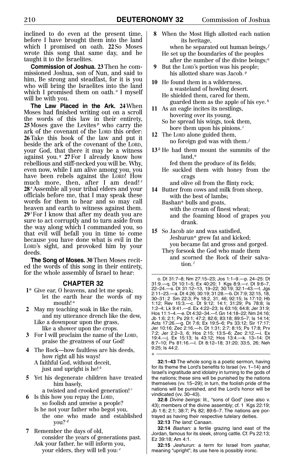inclined to do even at the present time, before I have brought them into the land which I promised on oath. **22** So Moses wrote this song that same day, and he taught it to the Israelites.

**Commission of Joshua. 23**Then he commissioned Joshua, son of Nun, and said to him, Be strong and steadfast, for it is you who will bring the Israelites into the land which I promised them on oath. *<sup>o</sup>* I myself will be with you.

**The Law Placed in the Ark. 24**When Moses had finished writing out on a scroll the words of this law in their entirety,  $25$  Moses gave the Levites<sup> $p$ </sup> who carry the ark of the covenant of the LORD this order: **26**Take this book of the law and put it beside the ark of the covenant of the LORD, your God, that there it may be a witness against you. *<sup>q</sup>* **27**For I already know how rebellious and stiff-necked you will be. Why, even now, while I am alive among you, you have been rebels against the LORD! How much more, then, after I am dead! *<sup>r</sup>* **28** *<sup>s</sup>* Assemble all your tribal elders and your officials before me, that I may speak these words for them to hear and so may call heaven and earth to witness against them. **29** *<sup>t</sup>*For I know that after my death you are sure to act corruptly and to turn aside from the way along which I commanded you, so that evil will befall you in time to come because you have done what is evil in the LORD's sight, and provoked him by your deeds.

**The Song of Moses. 30**Then Moses recited the words of this song in their entirety, for the whole assembly of Israel to hear:

#### **CHAPTER 32**

- **1**\* Give ear, O heavens, and let me speak; let the earth hear the words of my mouth! *<sup>a</sup>*
- **2** May my teaching soak in like the rain, and my utterance drench like the dew, Like a downpour upon the grass, like a shower upon the crops.
- **3** For I will proclaim the name of the LORD, praise the greatness of our God!
- **4** The Rock—how faultless are his deeds, how right all his ways! A faithful God, without deceit, just and upright is he! *<sup>b</sup>*
- **5** Yet his degenerate children have treated him basely,
	- a twisted and crooked generation! *<sup>c</sup>*
- **6** Is this how you repay the LORD, so foolish and unwise a people?
	- Is he not your father who begot you, the one who made and established you? *<sup>d</sup>*
- **7** Remember the days of old, consider the years of generations past. Ask your father, he will inform you, your elders, they will tell you: *<sup>e</sup>*

**8** When the Most High allotted each nation its heritage,

when he separated out human beings, *<sup>f</sup>* He set up the boundaries of the peoples

- after the number of the divine beings;\* **9** But the LORD's portion was his people;
- his allotted share was Jacob. *<sup>g</sup>* **10** He found them in a wilderness,
	- a wasteland of howling desert. He shielded them, cared for them,
- guarded them as the apple of his eye. *<sup>h</sup>* **11** As an eagle incites its nestlings,
	- hovering over its young, So he spread his wings, took them,
	- bore them upon his pinions. *<sup>i</sup>*
- **12** The LORD alone guided them, no foreign god was with them.*<sup>j</sup>*
- $13<sup>k</sup>$  He had them mount the summits of the land,\*

fed them the produce of its fields;

He suckled them with honey from the crags

and olive oil from the flinty rock;

**14** Butter from cows and milk from sheep, with the best of lambs;

Bashan\* bulls and goats, with the cream of finest wheat; and the foaming blood of grapes you drank.

- **15** So Jacob ate and was satisfied, Jeshurun\* grew fat and kicked; you became fat and gross and gorged.
	- They forsook the God who made them and scorned the Rock of their salvation. *<sup>l</sup>*

o. Dt 31:7–8; Nm 27:15–23; Jos 1:1–9.—p. 24–25: Dt 31:9.—q. Dt 10:1–5; Ex 40:20; 1 Kgs 8:9.—r. Dt 9:6–7, 22–24.—s. Dt 31:12–13, 19–22; 30:19; 32:1–43.—t. Jgs 2:11–23.—a. Dt 4:26; 30:19; 31:28.—b. Dt 7:9; 32:15, 18, 30–31; 2 Sm 22:3; Ps 18:2, 31, 46; 92:15; Is 17:10; Hb 1:12; Rev 15:3.—c. Dt 9:12; 14:1; 31:29; Ps 78:8; Is 1:2–4; Lk 9:41.—d. Ex 4:22–23; Is 63:16; 64:8; Jer 31:9; Hos 11:1–4.—e. Dt 4:32–34.—f. Gn 14:18–22; Nm 24:16; Jb 1:6; 2:1; Ps 29:1; 47:2; 82:6; 83:18; 89:5–7; Is 14:14; Acts 17:26.—g. Dt 7:6; Ex 19:5–6; Ps 33:12; Sir 17:17; Jer 10:16; Zec 2:16.—h. Dt 1:31; 2:7; 8:15; Ps 17:8; Prv 7:2; Jer 2:2–3, 6; Hos 2:15; 13:5–6; Zec 2:12.—i. Ex 19:4.—j. Ex 15:13; Is 43:12; Hos 13:4.—k. 13–14: Dt 8:7–10; Ps 81:16.—l. Dt 8:12–18; 31:20; 33:5, 26; Neh 9:25; Is 44:2.

**32:1–43** The whole song is a poetic sermon, having for its theme the Lord's benefits to Israel (vv. 1–14) and Israel's ingratitude and idolatry in turning to the gods of the nations; these sins will be punished by the nations themselves (vv. 15–29); in turn, the foolish pride of the nations will be punished, and the Lord's honor will be vindicated (vv. 30–43).

**32:8** Divine beings: lit., "sons of God" (see also v. 43); members of the divine assembly; cf. 1 Kgs 22:19; Jb 1:6; 2:1; 38:7; Ps 82; 89:6–7. The nations are portrayed as having their respective tutelary deities.

**32:13** The land: Canaan.

\*

**32:14** Bashan: a fertile grazing land east of the Jordan, famous for its sleek, strong cattle. Cf. Ps 22:13; Ez 39:18; Am 4:1.

**32:15** Jeshurun: a term for Israel from yashar, meaning "upright"; its use here is possibly ironic.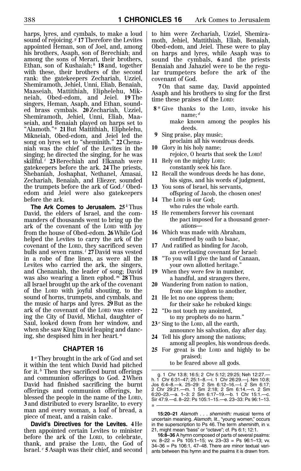harps, lyres, and cymbals, to make a loud sound of rejoicing. *<sup>g</sup>* **17**Therefore the Levites appointed Heman, son of Joel, and, among his brothers, Asaph, son of Berechiah; and among the sons of Merari, their brothers, Ethan, son of Kushaiah; *<sup>h</sup>* **18** and, together with these, their brothers of the second rank: the gatekeepers Zechariah, Uzziel, Shemiramoth, Jehiel, Unni, Eliab, Benaiah, Maaseiah, Mattithiah, Eliphelehu, Mikneiah, Obed-edom, and Jeiel. **19** The singers, Heman, Asaph, and Ethan, sounded brass cymbals. **20** Zechariah, Uzziel, Shemiramoth, Jehiel, Unni, Eliab, Maaseiah, and Benaiah played on harps set to "Alamoth."\* **21**But Mattithiah, Eliphelehu, Mikneiah, Obed-edom, and Jeiel led the song on lyres set to "sheminith." **22**Chenaniah was the chief of the Levites in the singing; he directed the singing, for he was skillful. *<sup>i</sup>* **23**Berechiah and Elkanah were gatekeepers before the ark. **24**The priests, Shebaniah, Joshaphat, Nethanel, Amasai, Zechariah, Benaiah, and Eliezer, sounded the trumpets before the ark of God.*<sup>j</sup>* Obededom and Jeiel were also gatekeepers before the ark.

**The Ark Comes to Jerusalem. 25** *<sup>k</sup>*Thus David, the elders of Israel, and the commanders of thousands went to bring up the ark of the covenant of the LORD with joy from the house of Obed-edom. **26**While God helped the Levites to carry the ark of the covenant of the LORD, they sacrificed seven bulls and seven rams. *<sup>l</sup>* **27** David was vested in a robe of fine linen, as were all the Levites who carried the ark, the singers, and Chenaniah, the leader of song; David was also wearing a linen ephod. *<sup>m</sup>* **28**Thus all Israel brought up the ark of the covenant of the LORD with joyful shouting, to the sound of horns, trumpets, and cymbals, and the music of harps and lyres. **29**But as the ark of the covenant of the LORD was entering the City of David, Michal, daughter of Saul, looked down from her window, and when she saw King David leaping and dancing, she despised him in her heart. *<sup>n</sup>*

#### **CHAPTER 16**

**1** *<sup>a</sup>*They brought in the ark of God and set it within the tent which David had pitched for it. *<sup>b</sup>* Then they sacrificed burnt offerings and communion offerings to God. **2**When David had finished sacrificing the burnt offerings and communion offerings, he blessed the people in the name of the LORD, **3** and distributed to every Israelite, to every man and every woman, a loaf of bread, a piece of meat, and a raisin cake.

**David's Directives for the Levites. 4**He then appointed certain Levites to minister before the ark of the LORD, to celebrate, thank, and praise the LORD, the God of Israel. *<sup>c</sup>* **5** Asaph was their chief, and second to him were Zechariah, Uzziel, Shemiramoth, Jehiel, Mattithiah, Eliab, Benaiah, Obed-edom, and Jeiel. These were to play on harps and lyres, while Asaph was to sound the cymbals, **6** and the priests Benaiah and Jahaziel were to be the regular trumpeters before the ark of the covenant of God.

**7** On that same day, David appointed Asaph and his brothers to sing for the first time these praises of the LORD:

- **8** \* Give thanks to the LORD, invoke his name; *<sup>d</sup>* make known among the peoples his
- deeds. **9** Sing praise, play music;

proclaim all his wondrous deeds.

- **10** Glory in his holy name; rejoice, O hearts that seek the LORD!
- **11** Rely on the mighty LORD; constantly seek his face.
- **12** Recall the wondrous deeds he has done, his signs, and his words of judgment,
- **13** You sons of Israel, his servants, offspring of Jacob, the chosen ones!
- **14** The LORD is our God; who rules the whole earth.
- **15** He remembers forever his covenant the pact imposed for a thousand generations—
- **16** Which was made with Abraham, confirmed by oath to Isaac,
- **17** And ratified as binding for Jacob, an everlasting covenant for Israel:
- **18** "To you will I give the land of Canaan, your own allotted heritage."
- **19** When they were few in number, a handful, and strangers there,
- **20** Wandering from nation to nation, from one kingdom to another,
- **21** He let no one oppress them;
- for their sake he rebuked kings: **22** "Do not touch my anointed,
	- to my prophets do no harm."
- **23** *<sup>e</sup>* Sing to the LORD, all the earth, announce his salvation, day after day.
- **24** Tell his glory among the nations; among all peoples, his wondrous deeds.
- **25** For great is the LORD and highly to be praised;

to be feared above all gods.

\*

g. 1 Chr 13:8; 16:5; 2 Chr 5:12; 29:25; Neh 12:27.— h. 1 Chr 6:31–47; 25:1–8.—i. 1 Chr 26:29.—j. Nm 10:8; Jos 6:4–8.—k. 25–29: 2 Sm 6:12–16.—l. 2 Sm 6:17; 2 Chr 29:21.—m. 1 Sm 2:18; 2 Sm 6:14.—n. 2 Sm 6:20–23.—a. 1–3: 2 Sm 6:17–19.—b. 1 Chr 15:1.—c. Sir 47:9.—d. 8–22: Ps 105:1–15.—e. 23–33: Ps 96:1–13.

**15:20–21** Alamoth . . . sheminith: musical terms of uncertain meaning. Alamoth, lit., "young women," occurs in the superscription to Ps 46. The term sheminith, in v. 21, might mean "bass" or "octave"; cf. Ps 6:1; 12:1.

**16:8–36** A hymn composed of parts of several psalms: vv. 8–22 = Ps 105:1–15; vv. 23–33 = Ps 96:1–13; vv. 34–36 = Ps 106:1, 47–48. There are minor textual variants between this hymn and the psalms it is drawn from.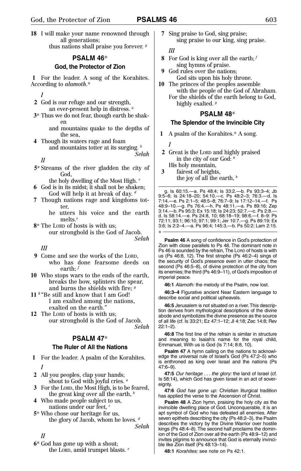**18** I will make your name renowned through all generations; thus nations shall praise you forever. *<sup>g</sup>*

#### **PSALM 46**\*

#### **God, the Protector of Zion**

**1** For the leader. A song of the Korahites. According to *alamoth*.\*

*I*

- **2** God is our refuge and our strength, an ever-present help in distress. *<sup>a</sup>*
- **3**\* Thus we do not fear, though earth be shaken
	- and mountains quake to the depths of the sea,
- **4** Though its waters rage and foam and mountains totter at its surging. *<sup>b</sup> Selah*

*II*

**5**\* Streams of the river gladden the city of God,

the holy dwelling of the Most High. *<sup>c</sup>*

- **6** God is in its midst; it shall not be shaken; God will help it at break of day. *<sup>d</sup>*
- **7** Though nations rage and kingdoms totter,
	- he utters his voice and the earth melts.*<sup>e</sup>*
- **8**\* The LORD of hosts is with us;
	- our stronghold is the God of Jacob. *Selah*

#### *III*

- **9** Come and see the works of the LORD, who has done fearsome deeds on earth; *<sup>f</sup>*
- **10** Who stops wars to the ends of the earth, breaks the bow, splinters the spear, and burns the shields with fire; *<sup>g</sup>*
- **11** *<sup>h</sup>* "Be still and know that I am God! I am exalted among the nations, exalted on the earth."
- **12** The LORD of hosts is with us; our stronghold is the God of Jacob. *Selah*

#### **PSALM 47**\*

#### **The Ruler of All the Nations**

- **1** For the leader. A psalm of the Korahites. *I*
- **2** All you peoples, clap your hands; shout to God with joyful cries. *<sup>a</sup>*
- **3** For the LORD, the Most High, is to be feared, the great king over all the earth, *<sup>b</sup>*
- **4** Who made people subject to us, nations under our feet, *<sup>c</sup>*
- **5**\* Who chose our heritage for us, the glory of Jacob, whom he loves. *<sup>d</sup> Selah*

*II*

**6**\* God has gone up with a shout; the LORD, amid trumpet blasts. *<sup>e</sup>* **7** Sing praise to God, sing praise; sing praise to our king, sing praise.

#### *III*

- **8** For God is king over all the earth; *<sup>f</sup>* sing hymns of praise.
- **9** God rules over the nations; God sits upon his holy throne.
- **10** The princes of the peoples assemble with the people of the God of Abraham. For the shields of the earth belong to God, highly exalted. *<sup>g</sup>*

#### **PSALM 48**\*

#### **The Splendor of the Invincible City**

**1** A psalm of the Korahites.\* A song.

*I*

\*

- **2** Great is the LORD and highly praised in the city of our God: *<sup>a</sup>*
- His holy mountain,
- **3** fairest of heights, the joy of all the earth, *<sup>b</sup>*

g. Is 60:15.—a. Ps 48:4; Is 33:2.—b. Ps 93:3–4; Jb 9:5–6; Is 24:18–20; 54:10.—c. Ps 48:2–3; 76:3.—d. Is 7:14.—e. Ps 2:1–5; 48:5–8; 76:7–9; Is 17:12–14.—f. Ps 48:9–10.—g. Ps 76:4.—h. Ps 48:11.—a. Ps 89:16; Zep 3:14.—b. Ps 95:3; Ex 15:18; Is 24:23; 52:7.—c. Ps 2:8.— d. Is 58:14.—e. Ps 24:8, 10; 68:18–19; 98:6.—f. 8–9: Ps 72:11; 93:1; 96:10; 97:1; 99:1; Jer 10:7.—g. Ps 89:19; Ex 3:6; Is 2:2–4.—a. Ps 96:4; 145:3.—b. Ps 50:2; Lam 2:15.

**Psalm 46** A song of confidence in God's protection of Zion with close parallels to Ps 48. The dominant note in Ps 46 is sounded by the refrain, The LORD of hosts is with us (Ps 46:8, 12). The first strophe (Ps 46:2–4) sings of the security of God's presence even in utter chaos; the second (Ps 46:5–8), of divine protection of the city from its enemies; the third (Ps 46:9–11), of God's imposition of imperial peace.

**46:1** Alamoth: the melody of the Psalm, now lost.

**46:3–4** Figurative ancient Near Eastern language to describe social and political upheavals.

**46:5** Jerusalem is not situated on a river.This description derives from mythological descriptions of the divine abode and symbolizes the divine presence as the source of all life (cf. Is 33:21; Ez 47:1–12; Jl 4:18; Zec 14:8; Rev 22:1–2).

**46:8** The first line of the refrain is similar in structure and meaning to Isaiah's name for the royal child, Emmanuel, With us is God (Is 7:14; 8:8, 10).

**Psalm 47** A hymn calling on the nations to acknowledge the universal rule of Israel's God (Ps 47:2–5) who is enthroned as king over Israel and the nations (Ps 47:6–9).

**47:5** Our heritage . . . the glory: the land of Israel (cf. Is 58:14), which God has given Israel in an act of sovereignty.

**47:6** God has gone up: Christian liturgical tradition has applied the verse to the Ascension of Christ.

**Psalm 48** A Zion hymn, praising the holy city as the invincible dwelling place of God. Unconquerable, it is an apt symbol of God who has defeated all enemies. After seven epithets describing the city (Ps 48:2–3), the Psalm describes the victory by the Divine Warrior over hostile kings (Ps 48:4–8). The second half proclaims the dominion of the God of Zion over all the earth (Ps 48:9–12) and invites pilgrims to announce that God is eternally invincible like Zion itself (Ps 48:13–14).

**48:1** Korahites: see note on Ps 42:1.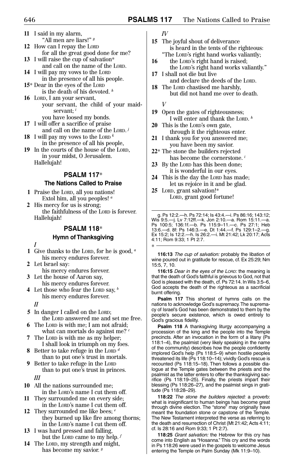- **11** I said in my alarm, "All men are liars!" *<sup>g</sup>* **12** How can I repay the LORD for all the great good done for me?
- **13** I will raise the cup of salvation\* and call on the name of the LORD.
- **14** I will pay my vows to the LORD in the presence of all his people.
- **15**\* Dear in the eyes of the LORD is the death of his devoted. *<sup>h</sup>*
- **16** LORD, I am your servant, your servant, the child of your maidservant; *<sup>i</sup>*

you have loosed my bonds.

- **17** I will offer a sacrifice of praise and call on the name of the LORD. *<sup>j</sup>*
- **18** I will pay my vows to the LORD *<sup>k</sup>* in the presence of all his people,
- **19** In the courts of the house of the LORD, in your midst, O Jerusalem. Hallelujah!

#### **PSALM 117**\*

#### **The Nations Called to Praise**

- **1** Praise the LORD, all you nations! Extol him, all you peoples! *<sup>a</sup>*
- **2** His mercy for us is strong; the faithfulness of the LORD is forever. Hallelujah!

#### **PSALM 118**\*

#### **Hymn of Thanksgiving**

*I*

- **1** Give thanks to the LORD, for he is good, *<sup>a</sup>* his mercy endures forever.
- **2** Let Israel say: his mercy endures forever.
- **3** Let the house of Aaron say, his mercy endures forever.
- **4** Let those who fear the LORD say, *<sup>b</sup>* his mercy endures forever.
	- *II*
- **5** In danger I called on the LORD; the LORD answered me and set me free.
- **6** The LORD is with me; I am not afraid;
- what can mortals do against me? *<sup>c</sup>* **7** The LORD is with me as my helper;
- I shall look in triumph on my foes. **8** Better to take refuge in the LORD *<sup>d</sup>*
- than to put one's trust in mortals. **9** Better to take refuge in the LORD
- than to put one's trust in princes. *III*
- **10** All the nations surrounded me; in the LORD's name I cut them off.
- **11** They surrounded me on every side; in the LORD's name I cut them off.
- **12** They surrounded me like bees; *<sup>e</sup>* they burned up like fire among thorns; in the LORD's name I cut them off.
- **13** I was hard pressed and falling, but the LORD came to my help. *<sup>f</sup>*
- **14** The LORD, my strength and might, has become my savior. *<sup>g</sup>*

*IV*

- **15** The joyful shout of deliverance is heard in the tents of the righteous: "The LORD's right hand works valiantly;
- 16 the LORD's right hand is raised; the LORD's right hand works valiantly."
- **17** I shall not die but live and declare the deeds of the LORD.
- **18** The LORD chastised me harshly, but did not hand me over to death.

*V*

\*

- **19** Open the gates of righteousness; I will enter and thank the LORD. *<sup>h</sup>*
- **20** This is the LORD's own gate, through it the righteous enter.
- **21** I thank you for you answered me; you have been my savior.
- **22**\* The stone the builders rejected has become the cornerstone. *<sup>i</sup>*
- **23** By the LORD has this been done; it is wonderful in our eyes.
- **24** This is the day the LORD has made; let us rejoice in it and be glad.
- **25** LORD, grant salvation!\* LORD, grant good fortune!

g. Ps 12:2.—h. Ps 72:14; Is 43:4.—i. Ps 86:16; 143:12; Wis 9:5.—j. Lv 7:12ff.—k. Jon 2:10.—a. Rom 15:11.—a. Ps 100:5; 136:1f.—b. Ps 115:9–11.—c. Ps 27:1; Heb 13:6.—d. 8f: Ps 146:3.—e. Dt 1:44.—f. Ps 129:1–2.—g. Ex 15:2; Is 12:2.—h. Is 26:2.—i. Mt 21:42; Lk 20:17; Acts 4:11; Rom 9:33; 1 Pt 2:7.

**116:13** The cup of salvation: probably the libation of wine poured out in gratitude for rescue, cf. Ex 25:29; Nm 15:5, 7, 10.

**116:15** Dear in the eyes of the LORD: the meaning is that the death of God's faithful is grievous to God, not that God is pleased with the death, cf. Ps 72:14. In Wis 3:5–6, God accepts the death of the righteous as a sacrificial burnt offering.

**Psalm 117** This shortest of hymns calls on the nations to acknowledge God's supremacy.The supremacy of Israel's God has been demonstrated to them by the people's secure existence, which is owed entirely to God's gracious fidelity.

**Psalm 118** A thanksgiving liturgy accompanying a procession of the king and the people into the Temple precincts. After an invocation in the form of a litany (Ps 118:1–4), the psalmist (very likely speaking in the name of the community) describes how the people confidently implored God's help (Ps 118:5–9) when hostile peoples threatened its life (Ps 118:10–14); vividly God's rescue is recounted (Ps 118:15–18). Then follows a possible dialogue at the Temple gates between the priests and the psalmist as the latter enters to offer the thanksgiving sacrifice (Ps 118:19–25). Finally, the priests impart their blessing (Ps 118:26–27), and the psalmist sings in gratitude (Ps 118:28–29).

**118:22** The stone the builders rejected: a proverb: what is insignificant to human beings has become great through divine election. The "stone" may originally have meant the foundation stone or capstone of the Temple. The New Testament interpreted the verse as referring to the death and resurrection of Christ (Mt 21:42; Acts 4:11; cf. Is 28:16 and Rom 9:33; 1 Pt 2:7).

**118:25** Grant salvation: the Hebrew for this cry has come into English as "Hosanna." This cry and the words in Ps 118:26 were used in the gospels to welcome Jesus entering the Temple on Palm Sunday (Mk 11:9–10).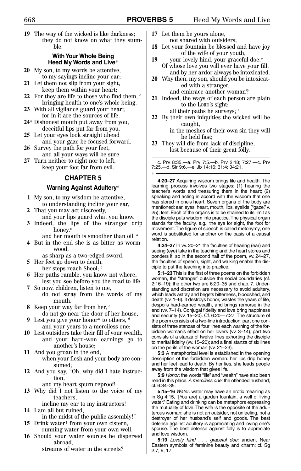**19** The way of the wicked is like darkness; they do not know on what they stumble.

#### **With Your Whole Being Heed My Words and Live**\*

- **20** My son, to my words be attentive, to my sayings incline your ear;
- **21** Let them not slip from your sight, keep them within your heart;
- **22** For they are life to those who find them, *<sup>c</sup>* bringing health to one's whole being.
- **23** With all vigilance guard your heart, for in it are the sources of life.
- **24**\* Dishonest mouth put away from you, deceitful lips put far from you.
- **25** Let your eyes look straight ahead
- and your gaze be focused forward. **26** Survey the path for your feet,
- and all your ways will be sure. **27** Turn neither to right nor to left, keep your foot far from evil.

#### **CHAPTER 5**

#### **Warning Against Adultery**\*

- **1** My son, to my wisdom be attentive, to understanding incline your ear,
- **2** That you may act discreetly,
- and your lips guard what you know. **3** Indeed, the lips of the stranger drip honey,\*
	- and her mouth is smoother than oil; *<sup>a</sup>*
- **4** But in the end she is as bitter as wormwood,
	- as sharp as a two-edged sword.
- **5** Her feet go down to death, her steps reach Sheol; *<sup>b</sup>*
- **6** Her paths ramble, you know not where, lest you see before you the road to life.
- **7** So now, children, listen to me,
	- do not stray from the words of my mouth.
- **8** Keep your way far from her, *<sup>c</sup>* do not go near the door of her house,
- Lest you give your honor\* to others, *d* and your years to a merciless one;
- **10** Lest outsiders take their fill of your wealth, and your hard-won earnings go to another's house;
- **11** And you groan in the end, when your flesh and your body are consumed;
- **12** And you say, "Oh, why did I hate instruction,
	- and my heart spurn reproof!
- **13** Why did I not listen to the voice of my teachers,

incline my ear to my instructors! **14** I am all but ruined,

- in the midst of the public assembly!"
- **15** Drink water\* from your own cistern, running water from your own well.
- **16** Should your water sources be dispersed abroad,
	- streams of water in the streets?
- **17** Let them be yours alone, not shared with outsiders;
- **18** Let your fountain be blessed and have joy of the wife of your youth,
- **19** your lovely hind, your graceful doe.\* Of whose love you will ever have your fill, and by her ardor always be intoxicated.
- **20** Why then, my son, should you be intoxicated with a stranger, and embrace another woman?
- **21** Indeed, the ways of each person are plain to the LORD's sight; all their paths he surveys; *<sup>e</sup>*
- **22** By their own iniquities the wicked will be caught,

in the meshes of their own sin they will be held fast;

**23** They will die from lack of discipline, lost because of their great folly.

c. Prv 8:35.—a. Prv 7:5.—b. Prv 2:18; 7:27.—c. Prv 7:25.—d. Sir 9:6.—e. Jb 14:16; 31:4; 34:21.

**4:20–27** Acquiring wisdom brings life and health. The learning process involves two stages: (1) hearing the teacher's words and treasuring them in the heart; (2) speaking and acting in accord with the wisdom that one has stored in one's heart. Seven organs of the body are mentioned: ear, eyes, heart, mouth, lips, eyelids ("gaze," v. 25), feet. Each of the organs is to be strained to its limit as the disciple puts wisdom into practice.The physical organ stands for the faculty, e.g., the eye for sight, the foot for movement.The figure of speech is called metonymy; one word is substituted for another on the basis of a causal relation. \*

**4:24–27** In vv. 20–21 the faculties of hearing (ear) and seeing (eye) take in the teaching and the heart stores and ponders it, so in the second half of the poem, vv. 24–27, the faculties of speech, sight, and walking enable the disciple to put the teaching into practice.

**5:1–23** This is the first of three poems on the forbidden woman, the "stranger" outside the social boundaries (cf. 2:16–19); the other two are 6:20–35 and chap. 7. Understanding and discretion are necessary to avoid adultery. which leads astray and begets bitterness, bloodshed, and death (vv. 1–6). It destroys honor, wastes the years of life, despoils hard-earned wealth, and brings remorse in the end (vv. 7–14). Conjugal fidelity and love bring happiness and security (vv. 15–20). Cf. 6:20—7:27. The structure of the poem consists of a two-line introduction; part one consists of three stanzas of four lines each warning of the forbidden woman's effect on her lovers (vv. 3–14); part two consists of a stanza of twelve lines exhorting the disciple to marital fidelity (vv. 15–20); and a final stanza of six lines on the perils of the woman (vv. 21–23).

**5:3** A metaphorical level is established in the opening description of the forbidden woman: her lips drip honey and her feet lead to death. By her lies, she leads people away from the wisdom that gives life.

**5:9** Honor: the words "life" and "wealth" have also been read in this place. A merciless one: the offended husband: cf. 6:34–35.

**5:15–16** Water: water may have an erotic meaning as in Sg 4:15, "[You are] a garden fountain, a well of living water." Eating and drinking can be metaphors expressing the mutuality of love. The wife is the opposite of the adulterous woman; she is not an outsider, not unfeeling, not a destroyer of her husband's self and goods. The best defense against adultery is appreciating and loving one's spouse. The best defense against folly is to appreciate and love wisdom.

**5:19** Lovely hind . . . graceful doe: ancient Near Eastern symbols of feminine beauty and charm; cf. Sg 2:7, 9, 17.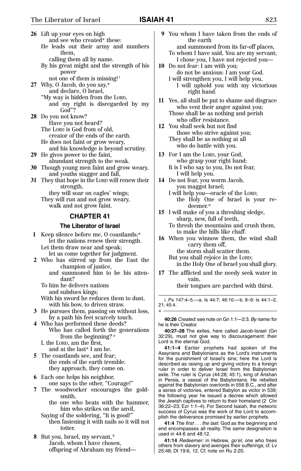|     | 26 Lift up your eyes on high                                                |  |
|-----|-----------------------------------------------------------------------------|--|
|     | and see who created* these:                                                 |  |
|     | He leads out their army and numbers                                         |  |
|     | them,                                                                       |  |
|     | calling them all by name.                                                   |  |
|     | By his great might and the strength of his                                  |  |
|     | power                                                                       |  |
|     | not one of them is missing! $i$                                             |  |
|     | 27 Why, O Jacob, do you say,*                                               |  |
|     | and declare, O Israel,                                                      |  |
|     | "My way is hidden from the LORD,                                            |  |
|     | and my right is disregarded by my                                           |  |
|     | God"?                                                                       |  |
| 28. | Do you not know?                                                            |  |
|     | Have you not heard?                                                         |  |
|     | The LORD is God from of old,                                                |  |
|     | creator of the ends of the earth.                                           |  |
|     | He does not faint or grow weary,                                            |  |
|     | and his knowledge is beyond scrutiny.                                       |  |
|     | 29 He gives power to the faint,                                             |  |
|     | abundant strength to the weak.                                              |  |
|     | 30 Though young men faint and grow weary,                                   |  |
| 31  | and youths stagger and fall,<br>They that hope in the LORD will renew their |  |
|     | strength,                                                                   |  |
|     | they will soar on eagles' wings;                                            |  |
|     | They will run and not grow weary,                                           |  |
|     | walk and not grow faint.                                                    |  |
|     |                                                                             |  |
|     | <b>CHAPTER 41</b>                                                           |  |
|     | The Liberator of Israel                                                     |  |

**1** Keep silence before me, O coastlands;\* let the nations renew their strength. Let them draw near and speak; let us come together for judgment.

- **2** Who has stirred up from the East the champion of justice,
	- and summoned him to be his attendant?

To him he delivers nations and subdues kings;

With his sword he reduces them to dust, with his bow, to driven straw.

- **3** He pursues them, passing on without loss, by a path his feet scarcely touch.
- **4** Who has performed these deeds? Who has called forth the generations from the beginning?<sup>*a*</sup>

I, the LORD, am the first, and at the last\* I am he.

- **5** The coastlands see, and fear; the ends of the earth tremble: they approach, they come on.
- **6** Each one helps his neighbor, one says to the other, "Courage!"
- **7** The woodworker encourages the goldsmith,
	- the one who beats with the hammer, him who strikes on the anvil,
	- Saying of the soldering, "It is good!" then fastening it with nails so it will not totter.
- 8 But you, Israel, my servant, *b* Jacob, whom I have chosen, offspring of Abraham my friend—
- **9** You whom I have taken from the ends of the earth
	- and summoned from its far-off places, To whom I have said, You are my servant; I chose you, I have not rejected you—
- **10** Do not fear: I am with you; do not be anxious: I am your God. I will strengthen you, I will help you, I will uphold you with my victorious
- **11** Yes, all shall be put to shame and disgrace who vent their anger against you; Those shall be as nothing and perish who offer resistance.
- **12** You shall seek but not find those who strive against you; They shall be as nothing at all who do battle with you.

right hand.

- **13** For I am the LORD, your God, who grasp your right hand; It is I who say to you, Do not fear, I will help you.
- **14** Do not fear, you worm Jacob, you maggot Israel;
	- I will help you—oracle of the LORD; the Holy One of Israel is your redeemer.\*
- **15** I will make of you a threshing sledge, sharp, new, full of teeth, To thresh the mountains and crush them, to make the hills like chaff.
- **16** When you winnow them, the wind shall carry them off, the storm shall scatter them.

But you shall rejoice in the LORD; in the Holy One of Israel you shall glory.

**17** The afflicted and the needy seek water in vain,

their tongues are parched with thirst.

i. Ps 147:4–5.—a. Is 44:7; 46:10.—b. 8–9: Is 44:1–2, 21; 45:4.

**40:26** Created: see note on Gn 1:1—2:3.By name: for he is their Creator.

\*

**40:27–28** The exiles, here called Jacob-Israel (Gn 32:29), must not give way to discouragement: their Lord is the eternal God.

**41:1–4** Earlier prophets had spoken of the Assyrians and Babylonians as the Lord's instruments for the punishment of Israel's sins; here the Lord is described as raising up and giving victory to a foreign ruler in order to deliver Israel from the Babylonian exile. The ruler is Cyrus (44:28; 45:1), king of Anshan in Persia, a vassal of the Babylonians. He rebelled against the Babylonian overlords in 556 B.C., and after a series of victories, entered Babylon as victor in 539; the following year he issued a decree which allowed the Jewish captives to return to their homeland (2 Chr 36:22–23; Ezr 1:1–4). For Second Isaiah, the meteoric success of Cyrus was the work of the Lord to accomplish the deliverance promised by earlier prophets.

**41:4** The first . . . the last: God as the beginning and end encompasses all reality. The same designation is used in 44:6 and 48:12.

**41:14** Redeemer: in Hebrew, go'el, one who frees others from slavery and avenges their sufferings; cf. Lv 25:48; Dt 19:6, 12. Cf. note on Ru 2:20.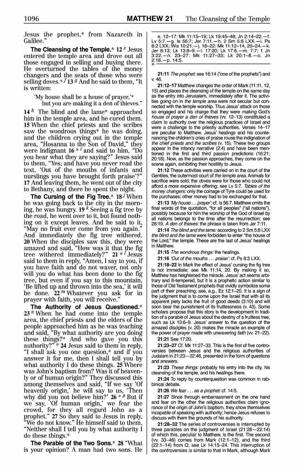Jesus the prophet.\* from Nazareth in Galilee.'

The Cleansing of the Temple. $*$  12  $e$  Jesus entered the temple area and drove out all those engaged in selling and buying there. He overturned the tables of the money changers and the seats of those who were selling doves.\*  $f$  13  $g$  And he said to them, "It is written:

'My house shall be a house of prayer,'\*

but you are making it a den of thieves."

14<sup>h</sup> The blind and the lame<sup>\*</sup> approached him in the temple area, and he cured them. 15 When the chief priests and the scribes saw the wondrous things<sup>\*</sup> he was doing, and the children crying out in the temple area, "Hosanna to the Son of David," they were indignant  $16 * i$  and said to him, "Do you hear what they are saying?" Jesus said to them, "Yes; and have you never read the text, 'Out of the mouths of infants and nurslings you have brought forth praise? 17 And leaving them, he went out of the city to Bethany, and there he spent the night.

The Cursing of the Fig Tree.\*  $18^{\,j}\,\mathrm{When}$ he was going back to the city in the morning, he was hungry. 19<sup>k</sup> Seeing a fig tree by the road, he went over to it, but found nothing on it except leaves. And he said to it, "May no fruit ever come from you again." And immediately the fig tree withered. **20** When the disciples saw this, they were amazed and said, "How was it that the fig tree withered immediately?"  $21 * l$  Jesus said to them in reply, "Amen, I say to you, if you have faith and do not waver, not only will you do what has been done to the fig tree, but even if you say to this mountain, 'Be lifted up and thrown into the sea,' it will be done.  $22<sup>m</sup>$  Whatever you ask for in prayer with faith, you will receive.'

The Authority of Jesus Questioned.\*  $23<sup>n</sup>$  When he had come into the temple area, the chief priests and the elders of the people approached him as he was teaching<br>and said, "By what authority are you doing these things?\* And who gave you this authority?" <sup>o</sup> 24 Jesus said to them in reply, "I shall ask you one question,\* and if you answer it for me, then I shall tell you by what authority I do these things. 25 Where was John's baptism from? Was it of heavenly or of human origin?" They discussed this among themselves and said, "If we say 'Of heavenly origin,' he will say to us, 'Then why did you not believe him?'  $26 * p$  But if we say, "Of human origin," we fear the crowd, for they all regard John as a prophet." 27 So they said to Jesus in reply,<br>"We do not know." He himself said to them, "Neither shall I tell you by what authority I do these things.\*

The Parable of the Two Sons.\* 28 "What is your opinion? A man had two sons. He

e. 12-17: Mk 11:15-19: Lk 19:45-48: Jn 2:14-22.-f. Ly 5:7.—g. Is 56:7; Jer 7:11.—h. 2 Sm 5:8 LXX.—i. Ps<br>8:2 LXX; Wis 10:21.—j. 18–22: Mk 11:12–14, 20–24.—k.<br>Jer 8:13; Lk 13:6–9.—l. 17:20; Lk 17:6.—m. 7:7; 1 Jn 3:22. - n. 23-27: Mk 11:27-33; Lk 20:1-8. - o. Jn  $2:18 - p. 14:5.$ 

21:11 The prophet: see 16:14 ("one of the prophets") and  $V$  46

21:12-17 Matthew changes the order of Mark (11:11, 12, 15) and places the cleansing of the temple on the same day as the entry into Jerusalem. immediately after it. The activities going on in the temple area were not secular but connected with the temple worship. Thus Jesus' attack on those so engaged and his charge that they were making God's house of prayer a den of thieves (w. 12-13) constituted a claim to authority over the religious practices of Israel and were a challenge to the priestly authorities. Verses 14-17 are peculiar to Matthew. Jesus' healings and his countenancing the children's cries of praise rouse the indignation of the chief priests and the scribes (v. 15). These two groups appear in the infancy narrative (2:4) and have been mentioned in the first and third passion predictions (16:21; 20:18). Now, as the passion approaches, they come on the scene again, exhibiting their hostility to Jesus.

21:12 These activities were carried on in the court of the Gentiles, the outermost court of the temple area. Animals for sacrifice were sold: the *doves* were for those who could not afford a more expensive offering, see Lv 5:7. Tables of the money changers: only the coinage of Tyre could be used for the purchases; other money had to be exchanged for that.

21:13 'My house ... prayer': cf. Is 56:7. Matthew omits the final words of the quotation, "for all peoples" ("all nations"), possibly because for him the worship of the God of Israel by all nations belongs to the time after the resurrection; see 28:19. A den of thieves: the phrase is taken from Jer 7:11.

21:14 The blind and the lame: according to 2 Sm 5:8 LXX the blind and the lame were forbidden to enter "the house of the Lord," the temple. These are the last of Jesus' healings in Matthew.

21:15 The wondrous things: the healings.

21:16 'Out of the mouths . . . praise': cf. Ps 8:3 LXX.

21:18-22 In Mark the effect of Jesus' cursing the fig tree is not immediate; see Mk 11:14, 20. By making it so, Matthew has heightened the miracle. Jesus' act seems arbitrary and ill-tempered, but it is a prophetic action similar to those of Old Testament prophets that vividly symbolize some part of their preaching; see, e.g., Ez 12:1-20. It is a sign of the judgment that is to come upon the Israel that with all its apparent piety lacks the fruit of good deeds (3:10) and will soon bear the punishment of its fruitlessness (v. 43). Some scholars propose that this story is the development in tradition of a parable of Jesus about the destiny of a fruitless tree, such as Lk 13:6-9. Jesus' answer to the question of the amazed disciples (v. 20) makes the miracle an example of the power of prayer made with unwavering faith (w. 21-22).

21:21 See 17:20.

21:23-27 Cf. Mk 11:27-33. This is the first of five controversies between Jesus and the religious authorities of Judaism in 21:23-22:46, presented in the form of questions and answers.

21:23 These things: probably his entry into the city, his cleansing of the temple, and his healings there.

21:24 To reply by counterquestion was common in rabbinical debate.

21:26 We fear . . . as a prophet: cf. 14:5.

21:27 Since through embarrassment on the one hand and fear on the other the religious authorities claim ignorance of the origin of John's baptism, they show themselves incapable of speaking with authority; hence Jesus refuses to discuss with them the grounds of his authority.

21:28-32 The series of controversies is interrupted by three parables on the judgment of Israel (21:28-22:14) of which this, peculiar to Matthew, is the first. The second (vv. 33-46) comes from Mark (12:1-12), and the third (22:1-14) from Q; see Lk 14:15-24. This interruption of the controversies is similar to that in Mark, although Mark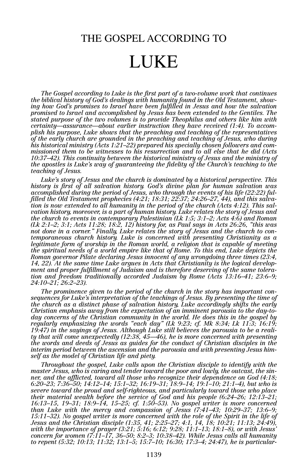## THE GOSPEL ACCORDING TO

## LUKE

*The Gospel according to Luke is the first part of a two-volume work that continues the biblical history of God's dealings with humanity found in the Old Testament, showing how God's promises to Israel have been fulfilled in Jesus and how the salvation promised to Israel and accomplished by Jesus has been extended to the Gentiles. The stated purpose of the two volumes is to provide Theophilus and others like him with certainty—assurance—about earlier instruction they have received (1:4). To accomplish his purpose, Luke shows that the preaching and teaching of the representatives of the early church are grounded in the preaching and teaching of Jesus, who during his historical ministry (Acts 1:21–22) prepared his specially chosen followers and commissioned them to be witnesses to his resurrection and to all else that he did (Acts 10:37–42). This continuity between the historical ministry of Jesus and the ministry of the apostles is Luke's way of guaranteeing the fidelity of the Church's teaching to the teaching of Jesus.*

*Luke's story of Jesus and the church is dominated by a historical perspective. This history is first of all salvation history. God's divine plan for human salvation was accomplished during the period of Jesus, who through the events of his life (22:22) fulfilled the Old Testament prophecies (4:21; 18:31; 22:37; 24:26–27, 44), and this salvation is now extended to all humanity in the period of the church (Acts 4:12). This salvation history, moreover, is a part of human history. Luke relates the story of Jesus and the church to events in contemporary Palestinian (Lk 1:5; 3:1–2; Acts 4:6) and Roman (Lk 2:1–2; 3:1; Acts 11:28; 18:2, 12) history for, as Paul says in Acts 26:26, "this was not done in a corner." Finally, Luke relates the story of Jesus and the church to contemporaneous church history. Luke is concerned with presenting Christianity as a legitimate form of worship in the Roman world, a religion that is capable of meeting the spiritual needs of a world empire like that of Rome. To this end, Luke depicts the Roman governor Pilate declaring Jesus innocent of any wrongdoing three times (23:4, 14, 22). At the same time Luke argues in Acts that Christianity is the logical development and proper fulfillment of Judaism and is therefore deserving of the same toleration and freedom traditionally accorded Judaism by Rome (Acts 13:16–41; 23:6–9; 24:10–21; 26:2–23).*

*The prominence given to the period of the church in the story has important consequences for Luke's interpretation of the teachings of Jesus. By presenting the time of the church as a distinct phase of salvation history, Luke accordingly shifts the early Christian emphasis away from the expectation of an imminent parousia to the day-today concerns of the Christian community in the world. He does this in the gospel by regularly emphasizing the words "each day" (Lk 9:23; cf. Mk 8:34; Lk 11:3; 16:19; 19:47) in the sayings of Jesus. Although Luke still believes the parousia to be a reality that will come unexpectedly (12:38, 45—46), he is more concerned with presenting the words and deeds of Jesus as guides for the conduct of Christian disciples in the interim period between the ascension and the parousia and with presenting Jesus himself as the model of Christian life and piety.*

*Throughout the gospel, Luke calls upon the Christian disciple to identify with the master Jesus, who is caring and tender toward the poor and lowly, the outcast, the sinner, and the afflicted, toward all those who recognize their dependence on God (4:18; 6:20–23; 7:36–50; 14:12–14; 15:1–32; 16:19–31; 18:9–14; 19:1–10; 21:1–4), but who is severe toward the proud and self-righteous, and particularly toward those who place their material wealth before the service of God and his people (6:24–26; 12:13–21; 16:13–15, 19–31; 18:9–14, 15–25; cf. 1:50–53). No gospel writer is more concerned than Luke with the mercy and compassion of Jesus (7:41–43; 10:29–37; 13:6–9; 15:11–32). No gospel writer is more concerned with the role of the Spirit in the life of Jesus and the Christian disciple (1:35, 41; 2:25–27; 4:1, 14, 18; 10:21; 11:13; 24:49), with the importance of prayer (3:21; 5:16; 6:12; 9:28; 11:1–13; 18:1–8), or with Jesus' concern for women (7:11–17, 36–50; 8:2–3; 10:38–42). While Jesus calls all humanity to repent (5:32; 10:13; 11:32; 13:1–5; 15:7–10; 16:30; 17:3–4; 24:47), he is particular-*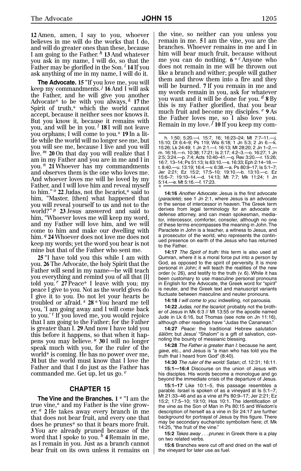**12**, Amen, amen, I say to you, whoever believes in me will do the works that I do, and will do greater ones than these, because I am going to the Father.<sup>h</sup> 13 And whatever you ask in my name, I will do, so that the Father may be glorified in the Son.<sup>*i*</sup> 14 If you ask anything of me in my name, I will do it.

The Advocate. 15 "If you love me, you will keep my commandments.,*<sup>j</sup>* **16**, And I will ask the Father, and he will give you another Advocate\* to be with you always,  $^k$  17 the Spirit of truth,\* which the world cannot accept, because it neither sees nor knows it. But you know it, because it remains with you, and will be in you.<sup>1</sup> 18I will not leave you orphans; I will come to you.\* 19 In a little while the world will no longer see me, but you will see me, because I live and you will live.<sup>m</sup> 20 On that day you will realize that I am in my Father and you are in me and I in you.<sup>n</sup> 21 Whoever has my commandments and observes them is the one who loves me. And whoever loves me will be loved by my Father, and I will love him and reveal myself to him.",*<sup>o</sup>* **22**, Judas, not the Iscariot,\* said to him, "Master, [then] what happened that you will reveal yourself to us and not to the world?"<sup>*p*</sup> 23 Jesus answered and said to him, "Whoever loves me will keep my word, and my Father will love him, and we will come to him and make our dwelling with him.  $q$  24 Whoever does not love me does not keep my words; yet the word you hear is not mine but that of the Father who sent me.

25 "I have told you this while I am with you. **26**, The Advocate, the holy Spirit that the Father will send in my name—he will teach you everything and remind you of all that [I] told you.<sup>*r*</sup> 27 Peace\* I leave with you; my peace I give to you. Not as the world gives do I give it to you. Do not let your hearts be troubled or afraid.<sup>*s*</sup> 28 \* You heard me tell you, 'I am going away and I will come back to you.'<sup>t</sup> If you loved me, you would rejoice that I am going to the Father; for the Father is greater than I. **29**, And now I have told you this before it happens, so that when it happens you may believe.,*<sup>u</sup>* **30**, I will no longer speak much with you, for the ruler of the world\* is coming. He has no power over me, **31**, but the world must know that I love the Father and that I do just as the Father has commanded me. Get up, let us go.<sup>*v*</sup>

#### **CHAPTER 15**

The Vine and the Branches.  $1$ <sup>\*</sup> "I am the true vine,\* and my Father is the vine grower.<sup>*a*</sup> 2 He takes away every branch in me that does not bear fruit, and every one that does he prunes\* so that it bears more fruit. **3**, You are already pruned because of the word that I spoke to you.  $^b$  4 Remain in me, as I remain in you. Just as a branch cannot bear fruit on its own unless it remains on

the vine, so neither can you unless you remain in me. **5** I am the vine, you are the branches. Whoever remains in me and I in him will bear much fruit, because without me you can do nothing.  $6 * c$  Anyone who does not remain in me will be thrown out like a branch and wither; people will gather them and throw them into a fire and they will be burned. 7 If you remain in me and my words remain in you, ask for whatever you want and it will be done for you. <sup>d</sup> 8 By this is my Father glorified, that you bear much fruit and become my disciples. <sup>e</sup> 9 As the Father loves me, so I also love you. Remain in my love. $f$  **10** If you keep my com-

**14:16** Another Advocate: Jesus is the first advocate (paraclete); see 1 Jn 2:1, where Jesus is an advocate in the sense of intercessor in heaven. The Greek term derives from legal terminology for an advocate or defense attorney, and can mean spokesman, mediator, intercessor, comforter, consoler, although no one of these terms encompasses the meaning in John.The Paraclete in John is a teacher, a witness to Jesus, and a prosecutor of the world, who represents the continued presence on earth of the Jesus who has returned to the Father.

**14:17** The Spirit of truth: this term is also used at Qumran, where it is a moral force put into a person by God, as opposed to the spirit of perversity. It is more personal in John; it will teach the realities of the new order (v. 26), and testify to the truth (v. 6). While it has been customary to use masculine personal pronouns in English for the Advocate, the Greek word for "spirit" is neuter, and the Greek text and manuscript variants fluctuate between masculine and neuter pronouns.

**14:18** I will come to you: indwelling, not parousia.

**14:22** Judas, not the Iscariot: probably not the brother of Jesus in Mk 6:3 // Mt 13:55 or the apostle named Jude in Lk 6:16, but Thomas (see note on Jn 11:16), although other readings have "Judas the Cananean."

**14:27** Peace: the traditional Hebrew salutation šālôm; but Jesus' "Shalom" is a gift of salvation, connoting the bounty of messianic blessing.

**14:28** The Father is greater than I: because he sent, gave, etc., and Jesus is "a man who has told you the truth that I heard from God" (8:40).

**14:30** The ruler of the world: Satan; cf. 12:31; 16:11. **15:1—16:4** Discourse on the union of Jesus with his disciples. His words become a monologue and go beyond the immediate crisis of the departure of Jesus.

**15:1–17** Like 10:1–5, this passage resembles a parable. Israel is spoken of as a vineyard at Is 5:1–7; Mt 21:33–46 and as a vine at Ps 80:9–17; Jer 2:21; Ez 15:2; 17:5–10; 19:10; Hos 10:1. The identification of the vine as the Son of Man in Ps 80:15 and Wisdom's description of herself as a vine in Sir 24:17 are further background for portrayal of Jesus by this figure. There may be secondary eucharistic symbolism here; cf. Mk 14:25, "the fruit of the vine."

**15:2** Takes away . . . prunes: in Greek there is a play on two related verbs.

**15:6** Branches were cut off and dried on the wall of the vineyard for later use as fuel.

h. 1:50; 5:20.—i. 15:7, 16; 16:23-24; Mt 7:7-11.-15:10; Dt 6:4–9; Ps 119; Wis 6:18; 1 Jn 5:3; 2 Jn 6.—k. 15:26; Lk 24:49; 1 Jn 2:1.—l. 16:13; Mt 28:20; 2 Jn 1–2. m. 16:16.—n. 10:38; 17:21; Is 2:17; 4:2–3.—o. 16:27; 1 Jn 2:5; 3:24.—p. 7:4; Acts 10:40–41.—q. Rev 3:20.—r. 15:26; 16:7, 13–14; Ps 51:13; Is 63:10.—s. 16:33; Eph 2:14–18. t. 8:40.—u. 13:19; 16:4.—v. 6:38.—a. Ps 80:9–17; Is 5:1–7; Jer 2:21; Ez 15:2; 17:5–10; 19:10.—b. 13:10.—c. Ez 15:6–7; 19:10–14.—d. 14:13; Mt 7:7; Mk 11:24; 1 Jn 5:14.—e. Mt 5:16.—f. 17:23. \*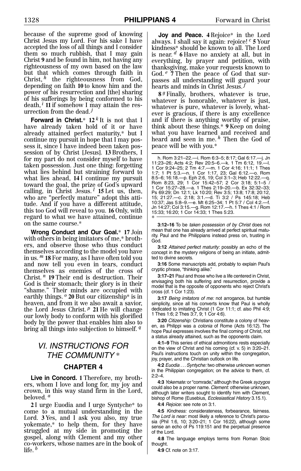because of the supreme good of knowing Christ Jesus my Lord. For his sake I have accepted the loss of all things and I consider them so much rubbish, that I may gain Christ **9** and be found in him, not having any righteousness of my own based on the law but that which comes through faith in Christ, <sup>h</sup> the righteousness from God, depending on faith **10**, to know him and the power of his resurrection and [the] sharing of his sufferings by being conformed to his death, <sup>*i*</sup> 11 if somehow I may attain the resurrection from the dead. $j$ 

**Forward in Christ.**\* 12<sup>k</sup> It is not that I have already taken hold of it or have already attained perfect maturity,\* but I continue my pursuit in hope that I may possess it, since I have indeed been taken possession of by Christ [Jesus]. **13**, Brothers, I for my part do not consider myself to have taken possession. Just one thing: forgetting what lies behind but straining forward to what lies ahead,  $14$ I continue my pursuit toward the goal, the prize of God's upward<br>calling, in Christ Jesus.<sup>1</sup> **15** Let us, then, who are "perfectly mature" adopt this attitude. And if you have a different attitude, this too God will reveal to you. **16**, Only, with regard to what we have attained, continue on the same course.\*

**Wrong Conduct and Our Goal.**\* **17**, Join with others in being imitators of me,\* brothers, and observe those who thus conduct themselves according to the model you have in us.,*<sup>m</sup>* **18**, For many, as I have often told you and now tell you even in tears, conduct themselves as enemies of the cross of Christ.<sup>*n*</sup> 19 Their end is destruction. Their God is their stomach; their glory is in their "shame." Their minds are occupied with earthly things.<sup>o</sup> 20 But our citizenship\* is in heaven, and from it we also await a savior, the Lord Jesus Christ.<sup>p</sup> 21 He will change our lowly body to conform with his glorified body by the power that enables him also to bring all things into subjection to himself.<sup>*q*</sup>

### VI. INSTRUCTIONS FOR THE COMMUNITY \*

#### **CHAPTER 4**

Live in Concord. 1 Therefore, my brothers, whom I love and long for, my joy and crown, in this way stand firm in the Lord, beloved.,*<sup>a</sup>*

**2** I urge Euodia and I urge Syntyche\* to come to a mutual understanding in the Lord. 3 Yes, and I ask you also, my true yokemate,\* to help them, for they have struggled at my side in promoting the gospel, along with Clement and my other co-workers, whose names are in the book of life. $<sup>b</sup>$ </sup>

**Joy and Peace. 4**, Rejoice\* in the Lord always. I shall say it again: rejoice!  $c$  **5** Your kindness\* should be known to all. The Lord is near.,*<sup>d</sup>* **6**, Have no anxiety at all, but in everything, by prayer and petition, with thanksgiving, make your requests known to God.<sup>e</sup> 7 Then the peace of God that surpasses all understanding will guard your hearts and minds in Christ Jesus.<sup>*j*</sup>

**8**,*g*, Finally, brothers, whatever is true, whatever is honorable, whatever is just, whatever is pure, whatever is lovely, whatever is gracious, if there is any excellence and if there is anything worthy of praise, think about these things.\* **9**, Keep on doing what you have learned and received and heard and seen in me.<sup>h</sup> Then the God of peace will be with you.\*

h. Rom 3:21–22.—i. Rom 6:3–5; 8:17; Gal 6:17.—j. Jn 11:23–26; Acts 4:2; Rev 20:5–6.—k. 1 Tm 6:12, 19.—l. 1 Cor 9:24–25; 2 Tm 4:7.—m. 1 Cor 4:16; 11:1; 1 Thes 1:7; 1 Pt 5:3.—n. 1 Cor 1:17, 23; Gal 6:12.—o. Rom 8:5–6; 16:18.—p. Eph 2:6, 19; Col 3:1–3; Heb 12:22.—q. Rom 8:23, 29; 1 Cor 15:42–57; 2 Cor 3:18; 5:1–5 / 1 Cor 15:27–28.—a. 1 Thes 2:19–20.—b. Ex 32:32–33; Ps 69:29; Dn 12:1; Lk 10:20; Rev 3:5; 13:8; 17:8; 20:12, 15; 21:27.—c. 2:18; 3:1.—d. Ti 3:2 / Ps 145:18; Heb 10:37; Jas 5:8–9.—e. Mt 6:25–34; 1 Pt 5:7 / Col 4:2.—f. Jn 14:27; Col 3:15.—g. Rom 12:17.—h. 1 Thes 4:1 / Rom 15:33; 16:20; 1 Cor 14:33; 1 Thes 5:23. \*

**3:12–16** To be taken possession of by Christ does not mean that one has already arrived at perfect spiritual maturity. Paul and the Philippians instead press on, trusting in God.

**3:12** Attained perfect maturity: possibly an echo of the concept in the mystery religions of being an initiate, admitted to divine secrets.

**3:16** Some manuscripts add, probably to explain Paul's cryptic phrase, "thinking alike."

**3:17–21** Paul and those who live a life centered in Christ, envisaging both his suffering and resurrection, provide a model that is the opposite of opponents who reject Christ's cross (cf. 1 Cor 1:23).

**3:17** Being imitators of me: not arrogance, but humble simplicity, since all his converts know that Paul is wholly dedicated to imitating Christ (1 Cor 11:1; cf. also Phil 4:9; 1 Thes 1:6; 2 Thes 3:7, 9; 1 Cor 4:6).

**3:20** Citizenship: Christians constitute a colony of heaven, as Philippi was a colonia of Rome (Acts 16:12). The hope Paul expresses involves the final coming of Christ, not a status already attained, such as the opponents claim.

**4:1–9** This series of ethical admonitions rests especially on the view of Christ and his coming (cf. v. 5) in 3:20–21. Paul's instructions touch on unity within the congregation, joy, prayer, and the Christian outlook on life.

**4:2** Euodia . . . Syntyche: two otherwise unknown women in the Philippian congregation; on the advice to them, cf. 2:2–4.

**4:3** Yokemate: or "comrade," although the Greek syzygos could also be a proper name. Clement: otherwise unknown, although later writers sought to identify him with Clement, bishop of Rome (Eusebius, Ecclesiastical History 3.15.1).

**4:4** Rejoice: see note on 3:1.

**4:5** Kindness: considerateness, forbearance, fairness. The Lord is near: most likely a reference to Christ's parousia (Phil 1:6, 10; 3:20–21; 1 Cor 16:22), although some sense an echo of Ps 119:151 and the perpetual presence of the Lord.

**4:8** The language employs terms from Roman Stoic thought.

**4:9** Cf. note on 3:17.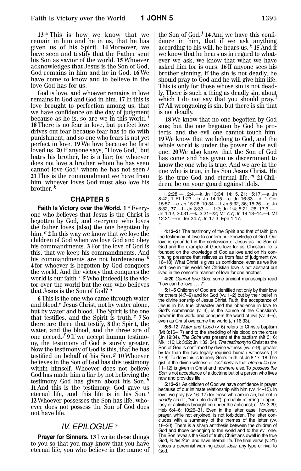13 \* This is how we know that we remain in him and he in us, that he has given us of his Spirit. **14**, Moreover, we have seen and testify that the Father sent his Son as savior of the world. **15**, Whoever acknowledges that Jesus is the Son of God, God remains in him and he in God. **16**, We have come to know and to believe in the love God has for us.

God is love, and whoever remains in love remains in God and God in him. **17**, In this is love brought to perfection among us, that we have confidence on the day of judgment because as he is, so are we in this world.<sup> $i$ </sup> 18 There is no fear in love, but perfect love drives out fear because fear has to do with punishment, and so one who fears is not yet perfect in love. **19**, We love because he first loved us. **20**, If anyone says, "I love God," but hates his brother, he is a liar; for whoever does not love a brother whom he has seen cannot love God\* whom he has not seen. **21**, This is the commandment we have from him: whoever loves God must also love his brother.,*<sup>k</sup>*

#### **CHAPTER 5**

Faith Is Victory over the World. 1 \* Everyone who believes that Jesus is the Christ is begotten by God, and everyone who loves the father loves [also] the one begotten by him.  $a$  2 In this way we know that we love the children of God when we love God and obey his commandments. **3**, For the love of God is this, that we keep his commandments. And his commandments are not burdensome, b **4**, for whoever is begotten by God conquers the world. And the victory that conquers the world is our faith.<sup>c</sup> 5 Who [indeed] is the victor over the world but the one who believes that Jesus is the Son of God?,*<sup>d</sup>*

**6**, This is the one who came through water and blood,\* Jesus Christ, not by water alone, but by water and blood. The Spirit is the one that testifies, and the Spirit is truth.<sup>e</sup> 7So there are three that testify, **8**, the Spirit, the water, and the blood, and the three are of one  $\arccos t$  **9** If we accept human testimony, the testimony of God is surely greater. Now the testimony of God is this, that he has testified on behalf of his Son.<sup>9</sup> 10 Whoever believes in the Son of God has this testimony within himself. Whoever does not believe God has made him a liar by not believing the testimony God has given about his Son.<sup>h</sup> **11**, And this is the testimony: God gave us eternal life, and this life is in his Son.<sup>*</sup>* 12 Whoever possesses the Son has life; whoever does not possess the Son of God does not have life.

#### IV. EPILOGUE \*

Prayer for Sinners. 13 I write these things to you so that you may know that you have eternal life, you who believe in the name of

the Son of God.<sup>*j*</sup> 14 And we have this confidence in him, that if we ask anything according to his will, he hears us. <sup>k</sup> 15 And if we know that he hears us in regard to whatever we ask, we know that what we have asked him for is ours. **16**, If anyone sees his brother sinning, if the sin is not deadly, he should pray to God and he will give him life. This is only for those whose sin is not deadly. There is such a thing as deadly sin, about which I do not say that you should pray. **17**, All wrongdoing is sin, but there is sin that is not deadly.

18 We know that no one begotten by God sins; but the one begotten by God he protects, and the evil one cannot touch him. 19 We know that we belong to God, and the whole world is under the power of the evil one. **20**, We also know that the Son of God has come and has given us discernment to know the one who is true. And we are in the one who is true, in his Son Jesus Christ. He is the true God and eternal life. $^m$  21 Children, be on your guard against idols.

| i. 2:28.--i. 2:4.--k. Jn 13:34; 14:15, 21; 15:17.--a. Jn      |
|---------------------------------------------------------------|
| 8:42; 1 Pt 1:23.—b. Jn 14:15.—c. Jn 16:33.—d. 1 Cor           |
| 15:57 .- e. Jn 15:26; 19:34 .- f. Jn 5:32, 36; 15:26 .- q. Jn |
| 5:32, 37.—h. Jn 3:33.—i. 1:2; Jn 1:4; 5:21, 26; 17:3.—i.      |
| Jn 1:12; 20:31.—k. 3:21–22; Mt 7:7; Jn 14:13–14.—I. Mt        |
| 12:31.—m. Jer 24:7: Jn 17:3: Eph 1:17.                        |
| $\ast$ $-$                                                    |
|                                                               |

**4:13–21** The testimony of the Spirit and that of faith join the testimony of love to confirm our knowledge of God. Our love is grounded in the confession of Jesus as the Son of God and the example of God's love for us. Christian life is founded on the knowledge of God as love and on his continuing presence that relieves us from fear of judgment (vv. 16–18). What Christ is gives us confidence, even as we live and love in this world. Yet Christian love is not abstract but lived in the concrete manner of love for one another.

**4:20** Cannot love God: some ancient manuscripts read "how can he love . . . ?"

**5:1–5** Children of God are identified not only by their love for others (4:7–9) and for God (vv. 1–2) but by their belief in the divine sonship of Jesus Christ. Faith, the acceptance of Jesus in his true character and the obedience in love to God's commands (v. 3), is the source of the Christian's power in the world and conquers the world of evil (vv. 4–5). even as Christ overcame the world (Jn 16:33).

**5:6–12** Water and blood (v. 6) refers to Christ's baptism (Mt 3:16–17) and to the shedding of his blood on the cross (Jn 19:34). The Spirit was present at the baptism (Mt 3:16; Mk 1:10; Lk 3:22; Jn 1:32, 34).The testimony to Christ as the Son of God is confirmed by divine witness (vv. 7–9), greater by far than the two legally required human witnesses (Dt 17:6).To deny this is to deny God's truth; cf. Jn 8:17–18.The gist of the divine witness or testimony is that eternal life (vv. 11-12) is given in Christ and nowhere else. To possess the Son is not acceptance of a doctrine but of a person who lives now and provides life.

**5:13–21** As children of God we have confidence in prayer because of our intimate relationship with him (vv. 14–15). In love, we pray (vv. 16-17) for those who are in sin, but not in deadly sin (lit., "sin unto death"), probably referring to apostasy or activities brought on under the antichrist; cf. Mk 3:29; Heb 6:4–6; 10:26–31. Even in the latter case, however, prayer, while not enjoined, is not forbidden. The letter concludes with a summary of the themes of the letter (vv. 18–20). There is a sharp antithesis between the children of God and those belonging to the world and to the evil one. The Son reveals the God of truth; Christians dwell in the true God, in his Son, and have eternal life. The final verse (v. 21) voices a perennial warning about idols, any type of rival to God.